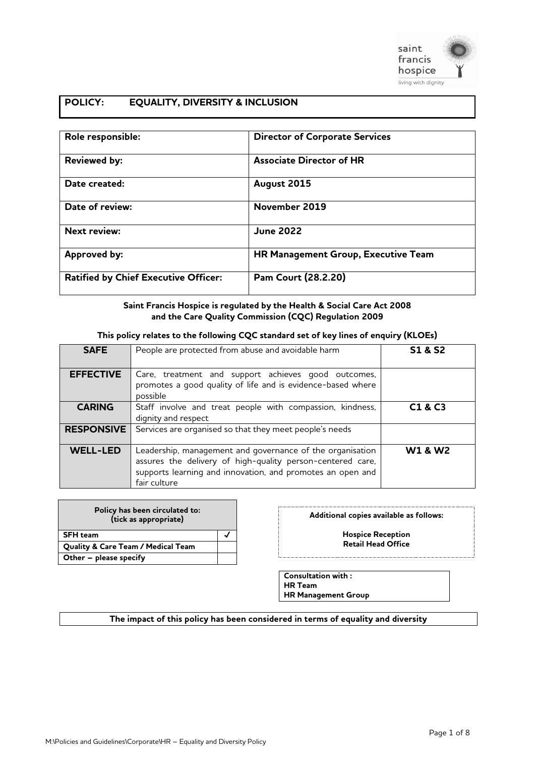

# **POLICY: EQUALITY, DIVERSITY & INCLUSION**

| Role responsible:                           | <b>Director of Corporate Services</b> |
|---------------------------------------------|---------------------------------------|
| <b>Reviewed by:</b>                         | <b>Associate Director of HR</b>       |
| Date created:                               | August 2015                           |
| Date of review:                             | November 2019                         |
| <b>Next review:</b>                         | <b>June 2022</b>                      |
| <b>Approved by:</b>                         | HR Management Group, Executive Team   |
| <b>Ratified by Chief Executive Officer:</b> | Pam Court (28.2.20)                   |

#### **Saint Francis Hospice is regulated by the Health & Social Care Act 2008 and the Care Quality Commission (CQC) Regulation 2009**

#### **This policy relates to the following CQC standard set of key lines of enquiry (KLOEs)**

| <b>SAFE</b>       | People are protected from abuse and avoidable harm                                                                                                                                                    | <b>S1 &amp; S2</b>              |
|-------------------|-------------------------------------------------------------------------------------------------------------------------------------------------------------------------------------------------------|---------------------------------|
| <b>EFFECTIVE</b>  | Care, treatment and support achieves good outcomes,<br>promotes a good quality of life and is evidence-based where<br>possible                                                                        |                                 |
| <b>CARING</b>     | Staff involve and treat people with compassion, kindness,<br>dignity and respect                                                                                                                      | C <sub>1</sub> & C <sub>3</sub> |
| <b>RESPONSIVE</b> | Services are organised so that they meet people's needs                                                                                                                                               |                                 |
| <b>WELL-LED</b>   | Leadership, management and governance of the organisation<br>assures the delivery of high-quality person-centered care,<br>supports learning and innovation, and promotes an open and<br>fair culture | <b>W1 &amp; W2</b>              |

| Policy has been circulated to:<br>(tick as appropriate) |  |
|---------------------------------------------------------|--|
| <b>SFH</b> team                                         |  |
| <b>Quality &amp; Care Team / Medical Team</b>           |  |
| Other - please specify                                  |  |

#### **Additional copies available as follows:**

**Hospice Reception Retail Head Office**

**Consultation with : HR Team**

**HR Management Group**

#### **The impact of this policy has been considered in terms of equality and diversity**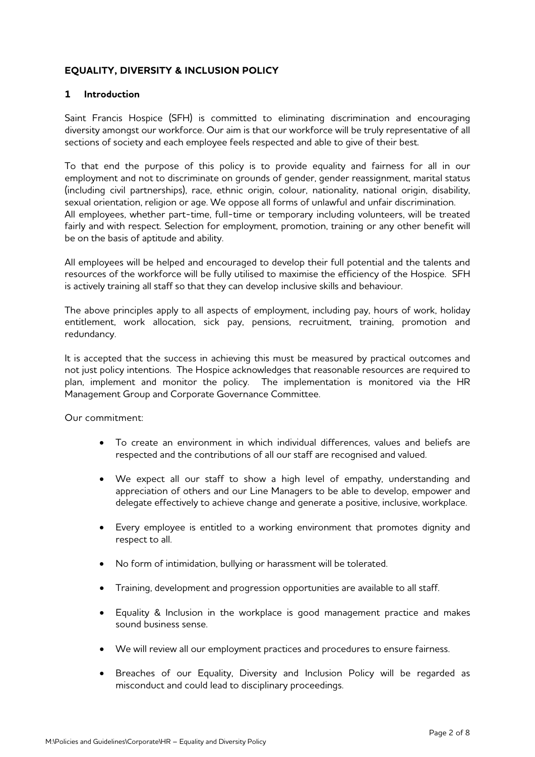# **EQUALITY, DIVERSITY & INCLUSION POLICY**

# **1 Introduction**

Saint Francis Hospice (SFH) is committed to eliminating discrimination and encouraging diversity amongst our workforce. Our aim is that our workforce will be truly representative of all sections of society and each employee feels respected and able to give of their best.

To that end the purpose of this policy is to provide equality and fairness for all in our employment and not to discriminate on grounds of gender, gender reassignment, marital status (including civil partnerships), race, ethnic origin, colour, nationality, national origin, disability, sexual orientation, religion or age. We oppose all forms of unlawful and unfair discrimination. All employees, whether part-time, full-time or temporary including volunteers, will be treated fairly and with respect. Selection for employment, promotion, training or any other benefit will be on the basis of aptitude and ability.

All employees will be helped and encouraged to develop their full potential and the talents and resources of the workforce will be fully utilised to maximise the efficiency of the Hospice. SFH is actively training all staff so that they can develop inclusive skills and behaviour.

The above principles apply to all aspects of employment, including pay, hours of work, holiday entitlement, work allocation, sick pay, pensions, recruitment, training, promotion and redundancy.

It is accepted that the success in achieving this must be measured by practical outcomes and not just policy intentions. The Hospice acknowledges that reasonable resources are required to plan, implement and monitor the policy. The implementation is monitored via the HR Management Group and Corporate Governance Committee.

Our commitment:

- To create an environment in which individual differences, values and beliefs are respected and the contributions of all our staff are recognised and valued.
- We expect all our staff to show a high level of empathy, understanding and appreciation of others and our Line Managers to be able to develop, empower and delegate effectively to achieve change and generate a positive, inclusive, workplace.
- Every employee is entitled to a working environment that promotes dignity and respect to all.
- No form of intimidation, bullying or harassment will be tolerated.
- Training, development and progression opportunities are available to all staff.
- Equality & Inclusion in the workplace is good management practice and makes sound business sense.
- We will review all our employment practices and procedures to ensure fairness.
- Breaches of our Equality, Diversity and Inclusion Policy will be regarded as misconduct and could lead to disciplinary proceedings.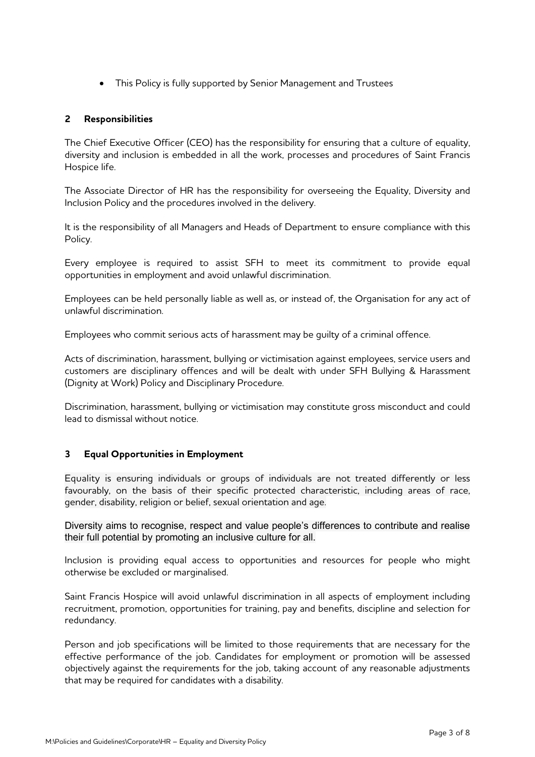• This Policy is fully supported by Senior Management and Trustees

# **2 Responsibilities**

The Chief Executive Officer (CEO) has the responsibility for ensuring that a culture of equality, diversity and inclusion is embedded in all the work, processes and procedures of Saint Francis Hospice life.

The Associate Director of HR has the responsibility for overseeing the Equality, Diversity and Inclusion Policy and the procedures involved in the delivery.

It is the responsibility of all Managers and Heads of Department to ensure compliance with this Policy.

Every employee is required to assist SFH to meet its commitment to provide equal opportunities in employment and avoid unlawful discrimination.

Employees can be held personally liable as well as, or instead of, the Organisation for any act of unlawful discrimination.

Employees who commit serious acts of harassment may be guilty of a criminal offence.

Acts of discrimination, harassment, bullying or victimisation against employees, service users and customers are disciplinary offences and will be dealt with under SFH Bullying & Harassment (Dignity at Work) Policy and Disciplinary Procedure.

Discrimination, harassment, bullying or victimisation may constitute gross misconduct and could lead to dismissal without notice.

# **3 Equal Opportunities in Employment**

Equality is ensuring individuals or groups of individuals are not treated differently or less favourably, on the basis of their specific protected characteristic, including areas of race, gender, disability, religion or belief, sexual orientation and age.

Diversity aims to recognise, respect and value people's differences to contribute and realise their full potential by promoting an inclusive culture for all.

Inclusion is providing equal access to opportunities and resources for people who might otherwise be excluded or marginalised.

Saint Francis Hospice will avoid unlawful discrimination in all aspects of employment including recruitment, promotion, opportunities for training, pay and benefits, discipline and selection for redundancy.

Person and job specifications will be limited to those requirements that are necessary for the effective performance of the job. Candidates for employment or promotion will be assessed objectively against the requirements for the job, taking account of any reasonable adjustments that may be required for candidates with a disability.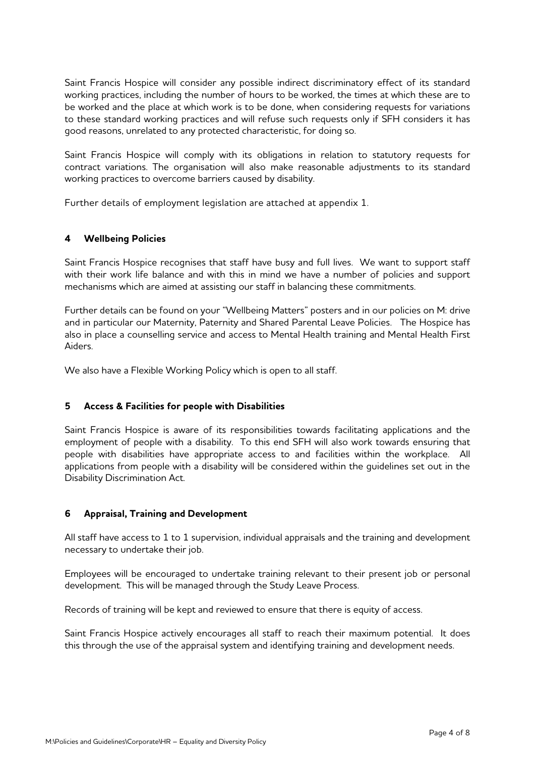Saint Francis Hospice will consider any possible indirect discriminatory effect of its standard working practices, including the number of hours to be worked, the times at which these are to be worked and the place at which work is to be done, when considering requests for variations to these standard working practices and will refuse such requests only if SFH considers it has good reasons, unrelated to any protected characteristic, for doing so.

Saint Francis Hospice will comply with its obligations in relation to statutory requests for contract variations. The organisation will also make reasonable adjustments to its standard working practices to overcome barriers caused by disability.

Further details of employment legislation are attached at appendix 1.

# **4 Wellbeing Policies**

Saint Francis Hospice recognises that staff have busy and full lives. We want to support staff with their work life balance and with this in mind we have a number of policies and support mechanisms which are aimed at assisting our staff in balancing these commitments.

Further details can be found on your "Wellbeing Matters" posters and in our policies on M: drive and in particular our Maternity, Paternity and Shared Parental Leave Policies. The Hospice has also in place a counselling service and access to Mental Health training and Mental Health First Aiders.

We also have a Flexible Working Policy which is open to all staff.

# **5 Access & Facilities for people with Disabilities**

Saint Francis Hospice is aware of its responsibilities towards facilitating applications and the employment of people with a disability. To this end SFH will also work towards ensuring that people with disabilities have appropriate access to and facilities within the workplace. All applications from people with a disability will be considered within the guidelines set out in the Disability Discrimination Act.

# **6 Appraisal, Training and Development**

All staff have access to 1 to 1 supervision, individual appraisals and the training and development necessary to undertake their job.

Employees will be encouraged to undertake training relevant to their present job or personal development. This will be managed through the Study Leave Process.

Records of training will be kept and reviewed to ensure that there is equity of access.

Saint Francis Hospice actively encourages all staff to reach their maximum potential. It does this through the use of the appraisal system and identifying training and development needs.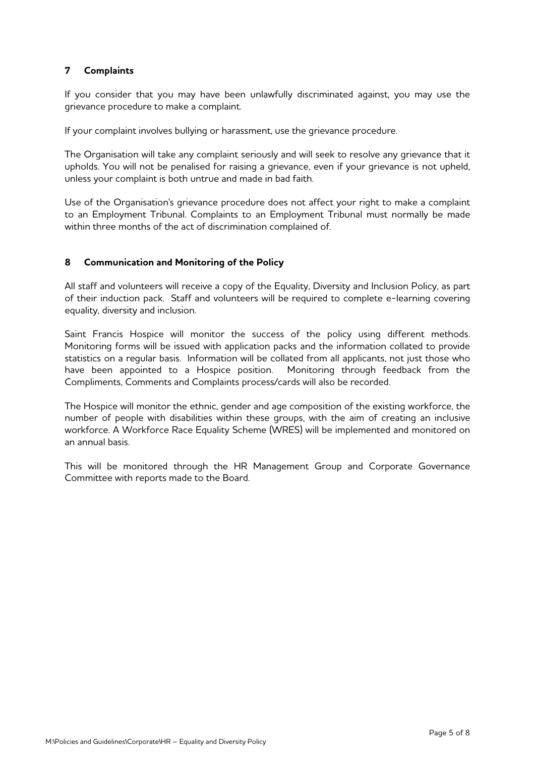# **7 Complaints**

If you consider that you may have been unlawfully discriminated against, you may use the grievance procedure to make a complaint.

If your complaint involves bullying or harassment, use the grievance procedure.

The Organisation will take any complaint seriously and will seek to resolve any grievance that it upholds. You will not be penalised for raising a grievance, even if your grievance is not upheld, unless your complaint is both untrue and made in bad faith.

Use of the Organisation's grievance procedure does not affect your right to make a complaint to an Employment Tribunal. Complaints to an Employment Tribunal must normally be made within three months of the act of discrimination complained of.

# **8 Communication and Monitoring of the Policy**

All staff and volunteers will receive a copy of the Equality, Diversity and Inclusion Policy, as part of their induction pack. Staff and volunteers will be required to complete e-learning covering equality, diversity and inclusion.

Saint Francis Hospice will monitor the success of the policy using different methods. Monitoring forms will be issued with application packs and the information collated to provide statistics on a regular basis. Information will be collated from all applicants, not just those who have been appointed to a Hospice position. Monitoring through feedback from the Compliments, Comments and Complaints process/cards will also be recorded.

The Hospice will monitor the ethnic, gender and age composition of the existing workforce, the number of people with disabilities within these groups, with the aim of creating an inclusive workforce. A Workforce Race Equality Scheme (WRES) will be implemented and monitored on an annual basis.

This will be monitored through the HR Management Group and Corporate Governance Committee with reports made to the Board.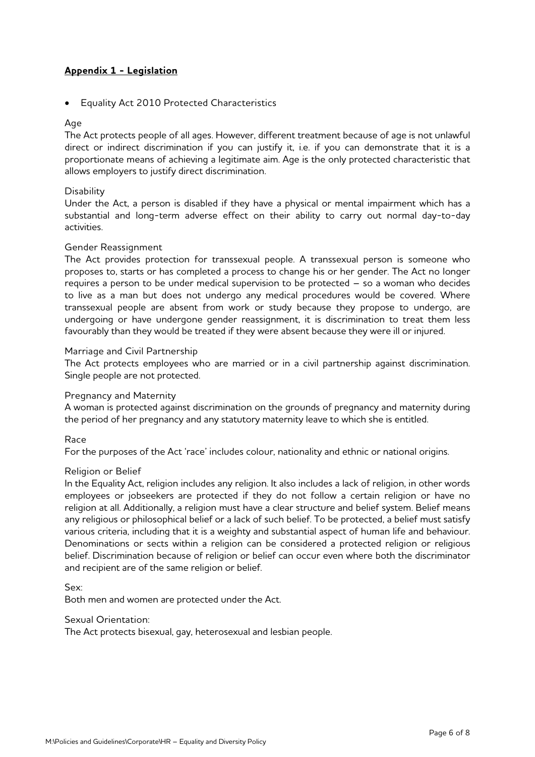# **Appendix 1 - Legislation**

• Equality Act 2010 Protected Characteristics

### Age

The Act protects people of all ages. However, different treatment because of age is not unlawful direct or indirect discrimination if you can justify it, i.e. if you can demonstrate that it is a proportionate means of achieving a legitimate aim. Age is the only protected characteristic that allows employers to justify direct discrimination.

### **Disability**

Under the Act, a person is disabled if they have a physical or mental impairment which has a substantial and long-term adverse effect on their ability to carry out normal day-to-day activities.

# Gender Reassignment

The Act provides protection for transsexual people. A transsexual person is someone who proposes to, starts or has completed a process to change his or her gender. The Act no longer requires a person to be under medical supervision to be protected – so a woman who decides to live as a man but does not undergo any medical procedures would be covered. Where transsexual people are absent from work or study because they propose to undergo, are undergoing or have undergone gender reassignment, it is discrimination to treat them less favourably than they would be treated if they were absent because they were ill or injured.

# Marriage and Civil Partnership

The Act protects employees who are married or in a civil partnership against discrimination. Single people are not protected.

### Pregnancy and Maternity

A woman is protected against discrimination on the grounds of pregnancy and maternity during the period of her pregnancy and any statutory maternity leave to which she is entitled.

### Race

For the purposes of the Act 'race' includes colour, nationality and ethnic or national origins.

### Religion or Belief

In the Equality Act, religion includes any religion. It also includes a lack of religion, in other words employees or jobseekers are protected if they do not follow a certain religion or have no religion at all. Additionally, a religion must have a clear structure and belief system. Belief means any religious or philosophical belief or a lack of such belief. To be protected, a belief must satisfy various criteria, including that it is a weighty and substantial aspect of human life and behaviour. Denominations or sects within a religion can be considered a protected religion or religious belief. Discrimination because of religion or belief can occur even where both the discriminator and recipient are of the same religion or belief.

Sex:

Both men and women are protected under the Act.

### Sexual Orientation:

The Act protects bisexual, gay, heterosexual and lesbian people.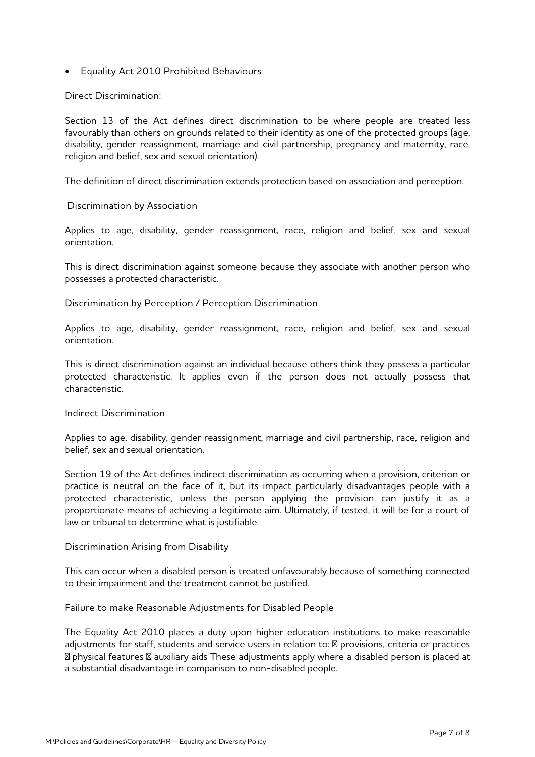• Equality Act 2010 Prohibited Behaviours

Direct Discrimination:

Section 13 of the Act defines direct discrimination to be where people are treated less favourably than others on grounds related to their identity as one of the protected groups (age, disability, gender reassignment, marriage and civil partnership, pregnancy and maternity, race, religion and belief, sex and sexual orientation).

The definition of direct discrimination extends protection based on association and perception.

Discrimination by Association

Applies to age, disability, gender reassignment, race, religion and belief, sex and sexual orientation.

This is direct discrimination against someone because they associate with another person who possesses a protected characteristic.

Discrimination by Perception / Perception Discrimination

Applies to age, disability, gender reassignment, race, religion and belief, sex and sexual orientation.

This is direct discrimination against an individual because others think they possess a particular protected characteristic. It applies even if the person does not actually possess that characteristic.

### Indirect Discrimination

Applies to age, disability, gender reassignment, marriage and civil partnership, race, religion and belief, sex and sexual orientation.

Section 19 of the Act defines indirect discrimination as occurring when a provision, criterion or practice is neutral on the face of it, but its impact particularly disadvantages people with a protected characteristic, unless the person applying the provision can justify it as a proportionate means of achieving a legitimate aim. Ultimately, if tested, it will be for a court of law or tribunal to determine what is justifiable.

### Discrimination Arising from Disability

This can occur when a disabled person is treated unfavourably because of something connected to their impairment and the treatment cannot be justified.

Failure to make Reasonable Adjustments for Disabled People

The Equality Act 2010 places a duty upon higher education institutions to make reasonable adjustments for staff, students and service users in relation to: provisions, criteria or practices physical features auxiliary aids These adjustments apply where a disabled person is placed at a substantial disadvantage in comparison to non-disabled people.